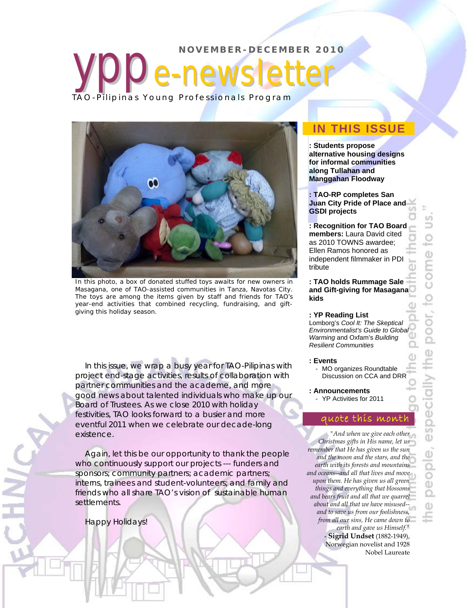

In this photo, a box of donated stuffed toys awaits for new owners in Masagana, one of TAO-assisted communities in Tanza, Navotas City. The toys are among the items given by staff and friends for TAO's year-end activities that combined recycling, fundraising, and giftgiving this holiday season.

In this issue, we wrap a busy year for TAO-Pilipinas with project end-stage activities, results of collaboration with partner communities and the academe, and more good news about talented individuals who make up our Board of Trustees. As we close 2010 with holiday festivities, TAO looks forward to a busier and more eventful 2011 when we celebrate our decade-long existence.

Again, let this be our opportunity to thank the people who continuously support our projects --- funders and sponsors; community partners; academic partners; interns, trainees and student-volunteers; and family and friends who all share TAO's vision of sustainable human settlements.

### Happy Holidays!

### **IN THIS ISSUE**

**: Students propose alternative housing designs for informal communities along Tullahan and Manggahan Floodway** 

**: TAO-RP completes San Juan City Pride of Place and GSDI projects** 

**: Recognition for TAO Board members:** Laura David cited as 2010 TOWNS awardee; Ellen Ramos honored as independent filmmaker in PDI tribute

**: TAO holds Rummage Sale and Gift-giving for Masagana kids** 

#### **: YP Reading List**

Lomborg's *Cool It: The Skeptical Environmentalist's Guide to Global Warming* and Oxfam's *Building Resilient Communities*

#### **: Events**

- MO organizes Roundtable Discussion on CCA and DRR
- **: Announcements**
- YP Activities for 2011

### quote this month

*"And when we give each other Christmas gifts in His name, let us remember that He has given us the sun and the moon and the stars, and the earth with its forests and mountains and oceans--and all that lives and move upon them. He has given us all green things and everything that blossoms and bears fruit and all that we quarrel about and all that we have misused- and to save us from our foolishness, from all our sins, He came down to earth and gave us Himself."*  - **Sigrid Undset** (1882-1949),

Norwegian novelist and 1928 Nobel Laureate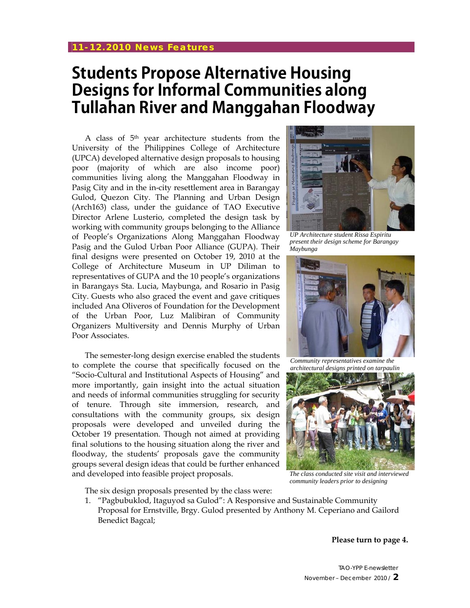# **Students Propose Alternative Housing Designs for Informal Communities along Tullahan River and Manggahan Floodway**

A class of 5th year architecture students from the University of the Philippines College of Architecture (UPCA) developed alternative design proposals to housing poor (majority of which are also income poor) communities living along the Manggahan Floodway in Pasig City and in the in-city resettlement area in Barangay Gulod, Quezon City. The Planning and Urban Design (Arch163) class, under the guidance of TAO Executive Director Arlene Lusterio, completed the design task by working with community groups belonging to the Alliance of People's Organizations Along Manggahan Floodway Pasig and the Gulod Urban Poor Alliance (GUPA). Their final designs were presented on October 19, 2010 at the College of Architecture Museum in UP Diliman to representatives of GUPA and the 10 people's organizations in Barangays Sta. Lucia, Maybunga, and Rosario in Pasig City. Guests who also graced the event and gave critiques included Ana Oliveros of Foundation for the Development of the Urban Poor, Luz Malibiran of Community Organizers Multiversity and Dennis Murphy of Urban Poor Associates.

The semester-long design exercise enabled the students to complete the course that specifically focused on the "Socio-Cultural and Institutional Aspects of Housing" and more importantly, gain insight into the actual situation and needs of informal communities struggling for security of tenure. Through site immersion, research, and consultations with the community groups, six design proposals were developed and unveiled during the October 19 presentation. Though not aimed at providing final solutions to the housing situation along the river and floodway, the students' proposals gave the community groups several design ideas that could be further enhanced and developed into feasible project proposals.



*UP Architecture student Rissa Espiritu present their design scheme for Barangay Maybunga* 



*Community representatives examine the architectural designs printed on tarpaulin* 



*The class conducted site visit and interviewed community leaders prior to designing* 

The six design proposals presented by the class were:

1. "Pagbubuklod, Itaguyod sa Gulod": A Responsive and Sustainable Community Proposal for Ernstville, Brgy. Gulod presented by Anthony M. Ceperiano and Gailord Benedict Bagcal;

**Please turn to page 4.**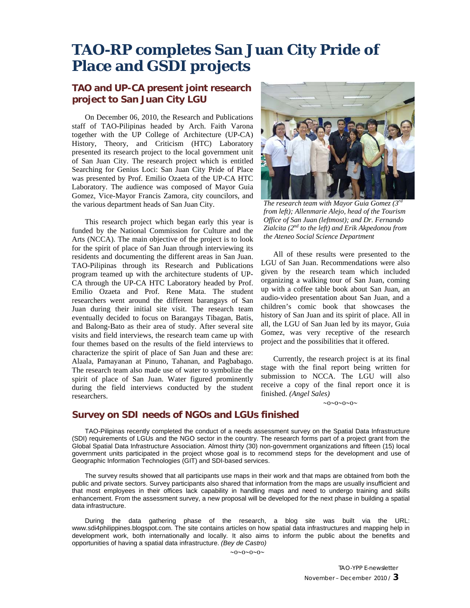## **TAO-RP completes San Juan City Pride of Place and GSDI projects**

### **TAO and UP-CA present joint research project to San Juan City LGU**

On December 06, 2010, the Research and Publications staff of TAO-Pilipinas headed by Arch. Faith Varona together with the UP College of Architecture (UP-CA) History, Theory, and Criticism (HTC) Laboratory presented its research project to the local government unit of San Juan City. The research project which is entitled Searching for Genius Loci: San Juan City Pride of Place was presented by Prof. Emilio Ozaeta of the UP-CA HTC Laboratory. The audience was composed of Mayor Guia Gomez, Vice-Mayor Francis Zamora, city councilors, and the various department heads of San Juan City.

This research project which began early this year is funded by the National Commission for Culture and the Arts (NCCA). The main objective of the project is to look for the spirit of place of San Juan through interviewing its residents and documenting the different areas in San Juan. TAO-Pilipinas through its Research and Publications program teamed up with the architecture students of UP-CA through the UP-CA HTC Laboratory headed by Prof. Emilio Ozaeta and Prof. Rene Mata. The student researchers went around the different barangays of San Juan during their initial site visit. The research team eventually decided to focus on Barangays Tibagan, Batis, and Balong-Bato as their area of study. After several site visits and field interviews, the research team came up with four themes based on the results of the field interviews to characterize the spirit of place of San Juan and these are: Alaala, Pamayanan at Pinuno, Tahanan, and Pagbabago. The research team also made use of water to symbolize the spirit of place of San Juan. Water figured prominently during the field interviews conducted by the student researchers.



*The research team with Mayor Guia Gomez (3rd from left); Allenmarie Alejo, head of the Tourism Office of San Juan (leftmost); and Dr. Fernando Zialcita (2nd to the left) and Erik Akpedonou from the Ateneo Social Science Department* 

All of these results were presented to the LGU of San Juan. Recommendations were also given by the research team which included organizing a walking tour of San Juan, coming up with a coffee table book about San Juan, an audio-video presentation about San Juan, and a children's comic book that showcases the history of San Juan and its spirit of place. All in all, the LGU of San Juan led by its mayor, Guia Gomez, was very receptive of the research project and the possibilities that it offered.

Currently, the research project is at its final stage with the final report being written for submission to NCCA. The LGU will also receive a copy of the final report once it is finished. *(Angel Sales)* 

 $\sim 0 \sim 0 \sim 0 \sim 0$ 

### **Survey on SDI needs of NGOs and LGUs finished**

TAO-Pilipinas recently completed the conduct of a needs assessment survey on the Spatial Data Infrastructure (SDI) requirements of LGUs and the NGO sector in the country. The research forms part of a project grant from the Global Spatial Data Infrastructure Association. Almost thirty (30) non-government organizations and fifteen (15) local government units participated in the project whose goal is to recommend steps for the development and use of Geographic Information Technologies (GIT) and SDI-based services.

The survey results showed that all participants use maps in their work and that maps are obtained from both the public and private sectors. Survey participants also shared that information from the maps are usually insufficient and that most employees in their offices lack capability in handling maps and need to undergo training and skills enhancement. From the assessment survey, a new proposal will be developed for the next phase in building a spatial data infrastructure.

During the data gathering phase of the research, a blog site was built via the URL: www.sdi4philippines.blogspot.com. The site contains articles on how spatial data infrastructures and mapping help in development work, both internationally and locally. It also aims to inform the public about the benefits and opportunities of having a spatial data infrastructure. *(Bey de Castro)*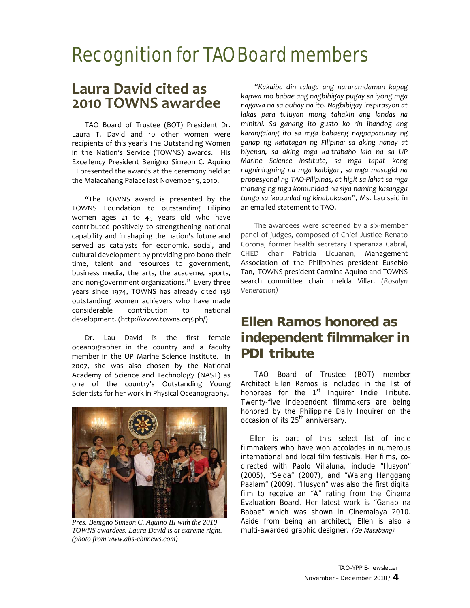# Recognition for TAO Board members

### **Laura David cited as 2010 TOWNS awardee**

TAO Board of Trustee (BOT) President Dr. Laura T. David and 10 other women were recipients of this year's The Outstanding Women in the Nation's Service (TOWNS) awards. His Excellency President Benigno Simeon C. Aquino III presented the awards at the ceremony held at the Malacañang Palace last November 5, 2010.

**"**The TOWNS award is presented by the TOWNS Foundation to outstanding Filipino women ages 21 to 45 years old who have contributed positively to strengthening national capability and in shaping the nation's future and served as catalysts for economic, social, and cultural development by providing pro bono their time, talent and resources to government, business media, the arts, the academe, sports, and non‐government organizations." Every three years since 1974, TOWNS has already cited 138 outstanding women achievers who have made considerable contribution to national development. (http://www.towns.org.ph/)

Dr. Lau David is the first female oceanographer in the country and a faculty member in the UP Marine Science Institute. In 2007, she was also chosen by the National Academy of Science and Technology (NAST) as one of the country's Outstanding Young Scientists for her work in Physical Oceanography.



*Pres. Benigno Simeon C. Aquino III with the 2010 TOWNS awardees. Laura David is at extreme right. (photo from www.abs-cbnnews.com)* 

*"Kakaiba din talaga ang nararamdaman kapag kapwa mo babae ang nagbibigay pugay sa iyong mga nagawa na sa buhay na ito. Nagbibigay inspirasyon at lakas para tuluyan mong tahakin ang landas na minithi. Sa ganang ito gusto ko rin ihandog ang karangalang ito sa mga babaeng nagpapatunay ng ganap ng katatagan ng FIlipina: sa aking nanay at biyenan, sa aking mga ka‐trabaho lalo na sa UP Marine Science Institute, sa mga tapat kong nagniningning na mga kaibigan, sa mga masugid na propesyonal ng TAO‐Pilipinas, at higit sa lahat sa mga manang ng mga komunidad na siya naming kasangga tungo sa ikauunlad ng kinabukasan"*, Ms. Lau said in an emailed statement to TAO.

The awardees were screened by a six-member panel of judges, composed of Chief Justice Renato Corona, former health secretary Esperanza Cabral, CHED chair Patricia Licuanan, Management Association of the Philippines president Eusebio Tan, TOWNS president Carmina Aquino and TOWNS search committee chair Imelda Villar. *(Rosalyn Veneracion)*

### **Ellen Ramos honored as independent filmmaker in PDI tribute**

TAO Board of Trustee (BOT) member Architect Ellen Ramos is included in the list of honorees for the  $1<sup>st</sup>$  Inquirer Indie Tribute. Twenty-five independent filmmakers are being honored by the Philippine Daily Inquirer on the occasion of its 25<sup>th</sup> anniversary.

Ellen is part of this select list of indie filmmakers who have won accolades in numerous international and local film festivals. Her films, codirected with Paolo Villaluna, include "Ilusyon" (2005), "Selda" (2007), and "Walang Hanggang Paalam" (2009). "Ilusyon" was also the first digital film to receive an "A" rating from the Cinema Evaluation Board. Her latest work is "Ganap na Babae" which was shown in Cinemalaya 2010. Aside from being an architect, Ellen is also a multi-awarded graphic designer. (Ge Matabang)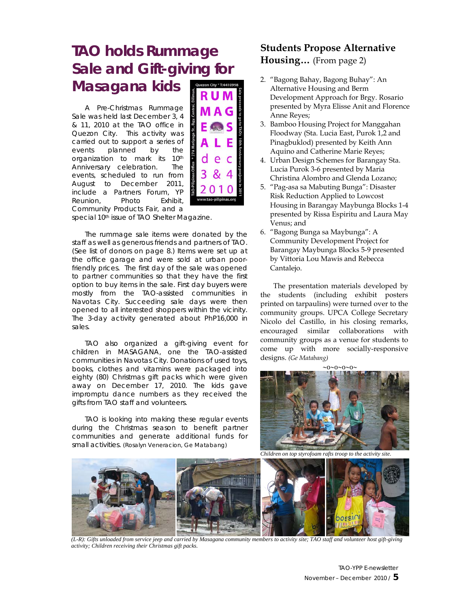# **TAO holds Rummage Sale and Gift-giving for Masagana kids**

A Pre-Christmas Rummage Sale was held last December 3, 4 & 11, 2010 at the TAO office in Quezon City. This activity was carried out to support a series of events planned by the organization to mark its 10<sup>th</sup> Anniversary celebration. The events, scheduled to run from August to December 2011, include a Partners Forum, YP Reunion, Photo Exhibit, Community Products Fair, and a



special 10<sup>th</sup> issue of TAO Shelter Magazine.

The rummage sale items were donated by the staff as well as generous friends and partners of TAO. (See list of donors on page 8.) Items were set up at the office garage and were sold at urban poorfriendly prices. The first day of the sale was opened to partner communities so that they have the first option to buy items in the sale. First day buyers were mostly from the TAO-assisted communities in Navotas City. Succeeding sale days were then opened to all interested shoppers within the vicinity. The 3-day activity generated about PhP16,000 in sales.

TAO also organized a gift-giving event for children in MASAGANA, one the TAO-assisted communities in Navotas City. Donations of used toys, books, clothes and vitamins were packaged into eighty (80) Christmas gift packs which were given away on December 17, 2010. The kids gave impromptu dance numbers as they received the gifts from TAO staff and volunteers.

TAO is looking into making these regular events during the Christmas season to benefit partner communities and generate additional funds for small activities. *(Rosalyn Veneracion, Ge Matabang)*

### **Students Propose Alternative Housing…** (From page 2)

- 2. "Bagong Bahay, Bagong Buhay": An Alternative Housing and Berm Development Approach for Brgy. Rosario presented by Myra Elisse Anit and Florence Anne Reyes;
- 3. Bamboo Housing Project for Manggahan Floodway (Sta. Lucia East, Purok 1,2 and Pinagbuklod) presented by Keith Ann Aquino and Catherine Marie Reyes;
- 4. Urban Design Schemes for Barangay Sta. Lucia Purok 3-6 presented by Maria Christina Alombro and Glenda Lozano;
- 5. "Pag-asa sa Mabuting Bunga": Disaster Risk Reduction Applied to Lowcost Housing in Barangay Maybunga Blocks 1-4 presented by Rissa Espiritu and Laura May Venus; and
- 6. "Bagong Bunga sa Maybunga": A Community Development Project for Barangay Maybunga Blocks 5-9 presented by Vittoria Lou Mawis and Rebecca Cantalejo.

The presentation materials developed by the students (including exhibit posters printed on tarpaulins) were turned over to the community groups. UPCA College Secretary Nicolo del Castillo, in his closing remarks, encouraged similar collaborations with community groups as a venue for students to come up with more socially-responsive designs. *(Ge Matabang)*



*Children on top styrofoam rafts troop to the activity site.* 



*(L-R): Gifts unloaded from service jeep and carried by Masagana community members to activity site; TAO staff and volunteer host gift-giving activity; Children receiving their Christmas gift packs.* 

TAO-YPP E-newsletter November – December 2010 / **5**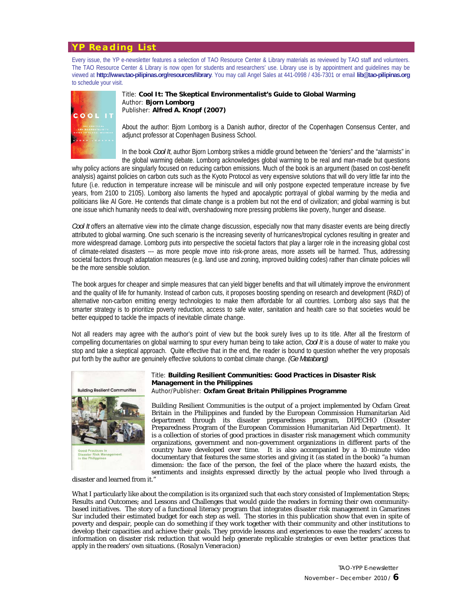### **YP Reading List**

Every issue, the YP e-newsletter features a selection of TAO Resource Center & Library materials as reviewed by TAO staff and volunteers. The TAO Resource Center & Library is now open for students and researchers' use. Library use is by appointment and guidelines may be viewed at **http://www.tao-pilipinas.org/resources/library**. You may call Angel Sales at 441-0998 / 436-7301 or email **lib@tao-pilipinas.org** to schedule your visit.



Title: **Cool It: The Skeptical Environmentalist's Guide to Global Warming**  Author: **Bjorn Lomborg** Publisher: **Alfred A. Knopf (2007)**

About the author: Bjorn Lomborg is a Danish author, director of the Copenhagen Consensus Center, and adjunct professor at Copenhagen Business School.

In the book *Cool It*, author Bjorn Lomborg strikes a middle ground between the "deniers" and the "alarmists" in the global warming debate. Lomborg acknowledges global warming to be real and man-made but questions

why policy actions are singularly focused on reducing carbon emissions. Much of the book is an argument (based on cost-benefit analysis) against policies on carbon cuts such as the Kyoto Protocol as very expensive solutions that will do very little far into the future (i.e. reduction in temperature increase will be miniscule and will only postpone expected temperature increase by five years, from 2100 to 2105). Lomborg also laments the hyped and apocalyptic portrayal of global warming by the media and politicians like Al Gore. He contends that climate change is a problem but not the end of civilization; and global warming is but one issue which humanity needs to deal with, overshadowing more pressing problems like poverty, hunger and disease.

*Cool It* offers an alternative view into the climate change discussion, especially now that many disaster events are being directly attributed to global warming. One such scenario is the increasing severity of hurricanes/tropical cyclones resulting in greater and more widespread damage. Lomborg puts into perspective the societal factors that play a larger role in the increasing global cost of climate-related disasters --- as more people move into risk-prone areas, more assets will be harmed. Thus, addressing societal factors through adaptation measures (e.g. land use and zoning, improved building codes) rather than climate policies will be the more sensible solution.

The book argues for cheaper and simple measures that can yield bigger benefits and that will ultimately improve the environment and the quality of life for humanity. Instead of carbon cuts, it proposes boosting spending on research and development (R&D) of alternative non-carbon emitting energy technologies to make them affordable for all countries. Lomborg also says that the smarter strategy is to prioritize poverty reduction, access to safe water, sanitation and health care so that societies would be better equipped to tackle the impacts of inevitable climate change.

Not all readers may agree with the author's point of view but the book surely lives up to its title. After all the firestorm of compelling documentaries on global warming to spur every human being to take action, *Cool It* is a douse of water to make you stop and take a skeptical approach. Quite effective that in the end, the reader is bound to question whether the very proposals put forth by the author are genuinely effective solutions to combat climate change. *(Ge Matabang)*



#### Title: **Building Resilient Communities: Good Practices in Disaster Risk Management in the Philippines** Author/Publisher: **Oxfam Great Britain Philippines Programme**

*Building Resilient Communities* is the output of a project implemented by Oxfam Great Britain in the Philippines and funded by the European Commission Humanitarian Aid department through its disaster preparedness program, DIPECHO (Disaster Preparedness Program of the European Commission Humanitarian Aid Department). It is a collection of stories of good practices in disaster risk management which community organizations, government and non-government organizations in different parts of the country have developed over time. It is also accompanied by a 10-minute video documentary that features the same stories and giving it (as stated in the book) "a human dimension: the face of the person, the feel of the place where the hazard exists, the sentiments and insights expressed directly by the actual people who lived through a

disaster and learned from it."

What I particularly like about the compilation is its organized such that each story consisted of Implementation Steps; Results and Outcomes; and Lessons and Challenges that would guide the readers in forming their own communitybased initiatives. The story of a functional literacy program that integrates disaster risk management in Camarines Sur included their estimated budget for each step as well. The stories in this publication show that even in spite of poverty and despair, people can do something if they work together with their community and other institutions to develop their capacities and achieve their goals. They provide lessons and experiences to ease the readers' access to information on disaster risk reduction that would help generate replicable strategies or even better practices that apply in the readers' own situations. *(Rosalyn Veneracion)*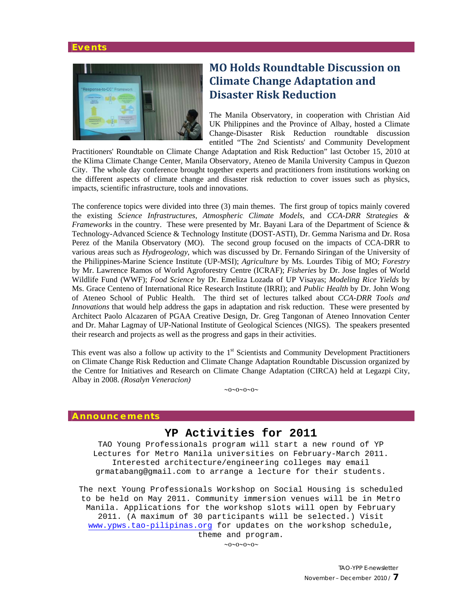#### **Events**



### **MO Holds Roundtable Discussion on Climate Change Adaptation and Disaster Risk Reduction**

The Manila Observatory, in cooperation with Christian Aid UK Philippines and the Province of Albay, hosted a Climate Change-Disaster Risk Reduction roundtable discussion entitled "The 2nd Scientists' and Community Development

Practitioners' Roundtable on Climate Change Adaptation and Risk Reduction" last October 15, 2010 at the Klima Climate Change Center, Manila Observatory, Ateneo de Manila University Campus in Quezon City. The whole day conference brought together experts and practitioners from institutions working on the different aspects of climate change and disaster risk reduction to cover issues such as physics, impacts, scientific infrastructure, tools and innovations.

The conference topics were divided into three (3) main themes. The first group of topics mainly covered the existing *Science Infrastructures*, *Atmospheric Climate Models*, and *CCA-DRR Strategies & Frameworks* in the country. These were presented by Mr. Bayani Lara of the Department of Science & Technology-Advanced Science & Technology Institute (DOST-ASTI), Dr. Gemma Narisma and Dr. Rosa Perez of the Manila Observatory (MO). The second group focused on the impacts of CCA-DRR to various areas such as *Hydrogeology*, which was discussed by Dr. Fernando Siringan of the University of the Philippines-Marine Science Institute (UP-MSI); *Agriculture* by Ms. Lourdes Tibig of MO; *Forestry* by Mr. Lawrence Ramos of World Agroforestry Centre (ICRAF); *Fisheries* by Dr. Jose Ingles of World Wildlife Fund (WWF); *Food Science* by Dr. Emeliza Lozada of UP Visayas; *Modeling Rice Yields* by Ms. Grace Centeno of International Rice Research Institute (IRRI); and *Public Health* by Dr. John Wong of Ateneo School of Public Health. The third set of lectures talked about *CCA-DRR Tools and Innovations* that would help address the gaps in adaptation and risk reduction. These were presented by Architect Paolo Alcazaren of PGAA Creative Design, Dr. Greg Tangonan of Ateneo Innovation Center and Dr. Mahar Lagmay of UP-National Institute of Geological Sciences (NIGS). The speakers presented their research and projects as well as the progress and gaps in their activities.

This event was also a follow up activity to the 1<sup>st</sup> Scientists and Community Development Practitioners on Climate Change Risk Reduction and Climate Change Adaptation Roundtable Discussion organized by the Centre for Initiatives and Research on Climate Change Adaptation (CIRCA) held at Legazpi City, Albay in 2008. *(Rosalyn Veneracion)* 

 $\sim 0 \sim 0 \sim 0 \sim 0$ 

#### **Announcements**

### **YP Activities for 2011**

TAO Young Professionals program will start a new round of YP Lectures for Metro Manila universities on February-March 2011. Interested architecture/engineering colleges may email grmatabang@gmail.com to arrange a lecture for their students.

The next Young Professionals Workshop on Social Housing is scheduled to be held on May 2011. Community immersion venues will be in Metro Manila. Applications for the workshop slots will open by February 2011. (A maximum of 30 participants will be selected.) Visit www.ypws.tao-pilipinas.org for updates on the workshop schedule, theme and program.

 $\sim 0 \sim 0 \sim 0 \sim 0$